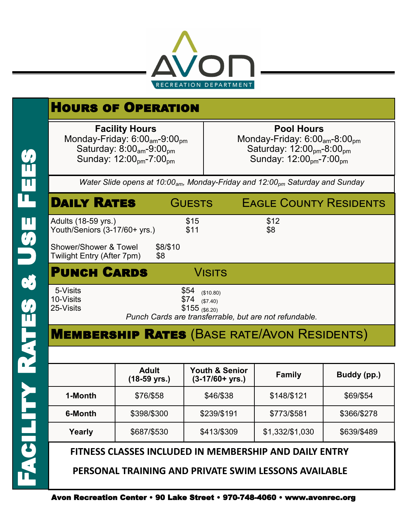

| <b>HOURS OF OPERATION</b>                                                                                                                                                             |               |                                                                                                                                                                                 |  |  |  |
|---------------------------------------------------------------------------------------------------------------------------------------------------------------------------------------|---------------|---------------------------------------------------------------------------------------------------------------------------------------------------------------------------------|--|--|--|
| <b>Facility Hours</b><br>Monday-Friday: $6:00_{\text{am}}$ -9:00 <sub>pm</sub><br>Saturday: $8:00_{\text{am}}$ -9:00 <sub>pm</sub><br>Sunday: 12:00 <sub>pm</sub> -7:00 <sub>pm</sub> |               | <b>Pool Hours</b><br>Monday-Friday: $6:00_{\text{am}}$ -8:00 <sub>pm</sub><br>Saturday: $12:00_{\text{pm}}-8:00_{\text{pm}}$<br>Sunday: 12:00 <sub>pm</sub> -7:00 <sub>pm</sub> |  |  |  |
| Water Slide opens at 10:00 $_{am}$ , Monday-Friday and 12:00 $_{pm}$ Saturday and Sunday                                                                                              |               |                                                                                                                                                                                 |  |  |  |
| <b>DAILY RATES</b>                                                                                                                                                                    | <b>GUESTS</b> | <b>EAGLE COUNTY RESIDENTS</b>                                                                                                                                                   |  |  |  |
| Adults (18-59 yrs.)<br>Youth/Seniors (3-17/60+ yrs.)                                                                                                                                  | \$15<br>\$11  | \$12<br>\$8                                                                                                                                                                     |  |  |  |
| Shower/Shower & Towel<br>\$8/\$10<br>Twilight Entry (After 7pm)<br>\$8                                                                                                                |               |                                                                                                                                                                                 |  |  |  |
| <b>PUNCH CARDS</b><br><b>VISITS</b>                                                                                                                                                   |               |                                                                                                                                                                                 |  |  |  |
| 5-Visits<br>\$54<br>(\$10.80)<br>10-Visits<br>\$74<br>(\$7.40)<br>25-Visits<br>$$155$ (\$6.20)<br>Punch Cards are transferrable, but are not refundable.                              |               |                                                                                                                                                                                 |  |  |  |
| <b>MEMBERSHIP RATES (BASE RATE/AVON RESIDENTS)</b>                                                                                                                                    |               |                                                                                                                                                                                 |  |  |  |

|                                                        | <b>Adult</b><br>$(18-59 \text{ yrs.})$ | <b>Youth &amp; Senior</b><br>$(3-17/60+ yrs.)$ | <b>Family</b>   | Buddy (pp.) |  |
|--------------------------------------------------------|----------------------------------------|------------------------------------------------|-----------------|-------------|--|
| 1-Month                                                | \$76/\$58                              | \$46/\$38                                      | \$148/\$121     | \$69/\$54   |  |
| 6-Month                                                | \$398/\$300                            | \$239/\$191                                    | \$773/\$581     | \$366/\$278 |  |
| Yearly                                                 | \$687/\$530                            | \$413/\$309                                    | \$1,332/\$1,030 | \$639/\$489 |  |
| FITNESS CLASSES INCLUDED IN MEMBERSHIP AND DAILY ENTRY |                                        |                                                |                 |             |  |

 **PERSONAL TRAINING AND PRIVATE SWIM LESSONS AVAILABLE** 

 $\frac{1}{11}$ 

 $\blacksquare$ 

 $\mathbf{u}$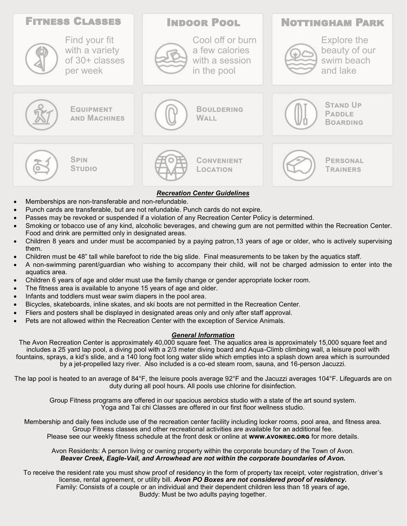

- Memberships are non-transferable and non-refundable.
- Punch cards are transferable, but are not refundable. Punch cards do not expire.
- Passes may be revoked or suspended if a violation of any Recreation Center Policy is determined.
- Smoking or tobacco use of any kind, alcoholic beverages, and chewing gum are not permitted within the Recreation Center. Food and drink are permitted only in designated areas.
- Children 8 years and under must be accompanied by a paying patron,13 years of age or older, who is actively supervising them.
- Children must be 48" tall while barefoot to ride the big slide. Final measurements to be taken by the aquatics staff.
- A non-swimming parent/guardian who wishing to accompany their child, will not be charged admission to enter into the aquatics area.
- Children 6 years of age and older must use the family change or gender appropriate locker room.
- The fitness area is available to anyone 15 years of age and older.
- Infants and toddlers must wear swim diapers in the pool area.
- Bicycles, skateboards, inline skates, and ski boots are not permitted in the Recreation Center.
- Fliers and posters shall be displayed in designated areas only and only after staff approval.
- Pets are not allowed within the Recreation Center with the exception of Service Animals.

## *General Information*

The Avon Recreation Center is approximately 40,000 square feet. The aquatics area is approximately 15,000 square feet and includes a 25 yard lap pool, a diving pool with a 2/3 meter diving board and Aqua-Climb climbing wall, a leisure pool with fountains, sprays, a kid's slide, and a 140 long foot long water slide which empties into a splash down area which is surrounded by a jet-propelled lazy river. Also included is a co-ed steam room, sauna, and 16-person Jacuzzi.

The lap pool is heated to an average of 84°F, the leisure pools average 92°F and the Jacuzzi averages 104°F. Lifeguards are on duty during all pool hours. All pools use chlorine for disinfection.

Group Fitness programs are offered in our spacious aerobics studio with a state of the art sound system. Yoga and Tai chi Classes are offered in our first floor wellness studio.

Membership and daily fees include use of the recreation center facility including locker rooms, pool area, and fitness area. Group Fitness classes and other recreational activities are available for an additional fee. Please see our weekly fitness schedule at the front desk or online at **www.avonrec.org** for more details.

## Avon Residents: A person living or owning property within the corporate boundary of the Town of Avon. *Beaver Creek, Eagle-Vail, and Arrowhead are not within the corporate boundaries of Avon.*

To receive the resident rate you must show proof of residency in the form of property tax receipt, voter registration, driver's license, rental agreement, or utility bill. *Avon PO Boxes are not considered proof of residency.*  Family: Consists of a couple or an individual and their dependent children less than 18 years of age, Buddy: Must be two adults paying together.